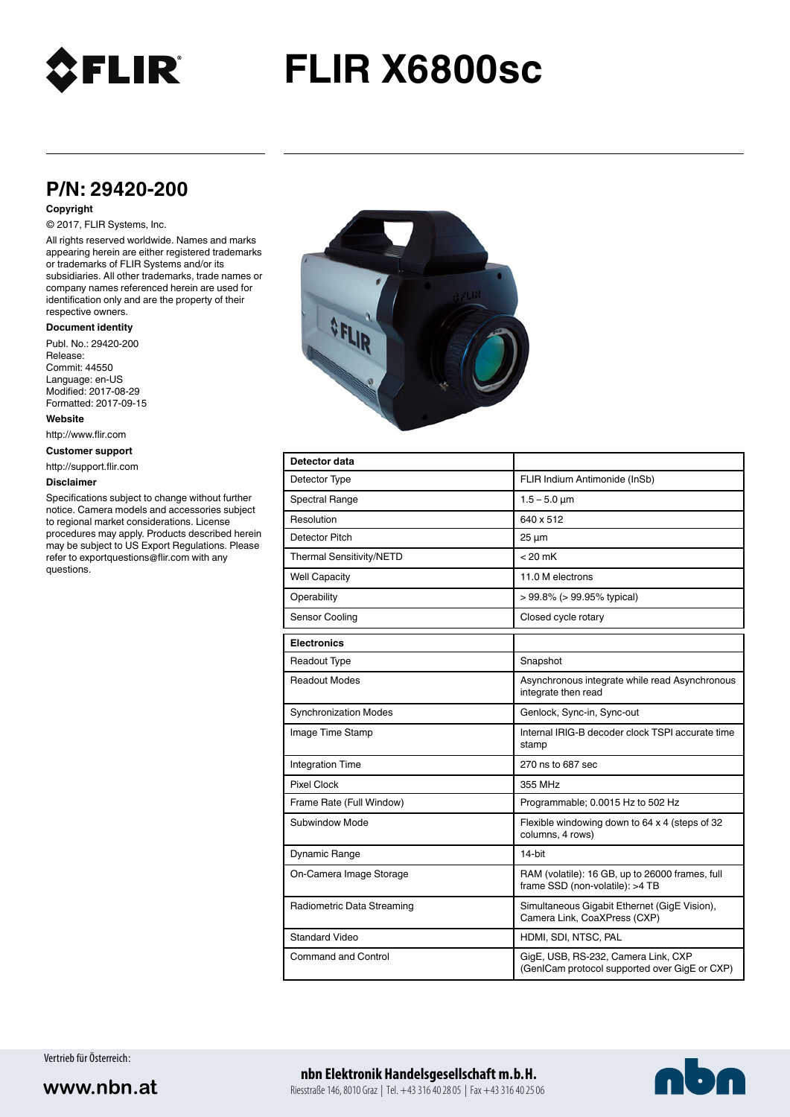

# **FLIR X6800sc**

# **P/N: 29420-200**

### **Copyright**

## © 2017, FLIR Systems, Inc.

All rights reserved worldwide. Names and marks appearing herein are either registered trademarks or trademarks of FLIR Systems and/or its subsidiaries. All other trademarks, trade names or company names referenced herein are used for identification only and are the property of their respective owners.

#### **Document identity**

Publ. No.: 29420-200 Release: Commit: 44550 Language: en-US Modified: 2017-08-29 Formatted: 2017-09-15

**Website**

http://www.flir.com

**Customer support**

http://support.flir.com

#### **Disclaimer**

Specifications subject to change without further notice. Camera models and accessories subject to regional market considerations. License procedures may apply. Products described herein may be subject to US Export Regulations. Please refer to exportquestions@flir.com with any questions.



| Detector data                   |                                                                                      |
|---------------------------------|--------------------------------------------------------------------------------------|
| Detector Type                   | FLIR Indium Antimonide (InSb)                                                        |
| Spectral Range                  | $1.5 - 5.0 \mu m$                                                                    |
| Resolution                      | 640 x 512                                                                            |
| Detector Pitch                  | $25 \mu m$                                                                           |
| <b>Thermal Sensitivity/NETD</b> | $< 20$ mK                                                                            |
| <b>Well Capacity</b>            | 11.0 M electrons                                                                     |
| Operability                     | $> 99.8\%$ ( $> 99.95\%$ typical)                                                    |
| Sensor Cooling                  | Closed cycle rotary                                                                  |
| <b>Electronics</b>              |                                                                                      |
| Readout Type                    | Snapshot                                                                             |
| Readout Modes                   | Asynchronous integrate while read Asynchronous<br>integrate then read                |
| <b>Synchronization Modes</b>    | Genlock, Sync-in, Sync-out                                                           |
| Image Time Stamp                | Internal IRIG-B decoder clock TSPI accurate time<br>stamp                            |
| <b>Integration Time</b>         | 270 ns to 687 sec                                                                    |
| Pixel Clock                     | 355 MHz                                                                              |
| Frame Rate (Full Window)        | Programmable; 0.0015 Hz to 502 Hz                                                    |
| Subwindow Mode                  | Flexible windowing down to 64 x 4 (steps of 32<br>columns, 4 rows)                   |
| Dynamic Range                   | 14-bit                                                                               |
| On-Camera Image Storage         | RAM (volatile): 16 GB, up to 26000 frames, full<br>frame SSD (non-volatile): >4 TB   |
| Radiometric Data Streaming      | Simultaneous Gigabit Ethernet (GigE Vision),<br>Camera Link, CoaXPress (CXP)         |
| <b>Standard Video</b>           | HDMI, SDI, NTSC, PAL                                                                 |
| <b>Command and Control</b>      | GigE, USB, RS-232, Camera Link, CXP<br>(GenICam protocol supported over GigE or CXP) |

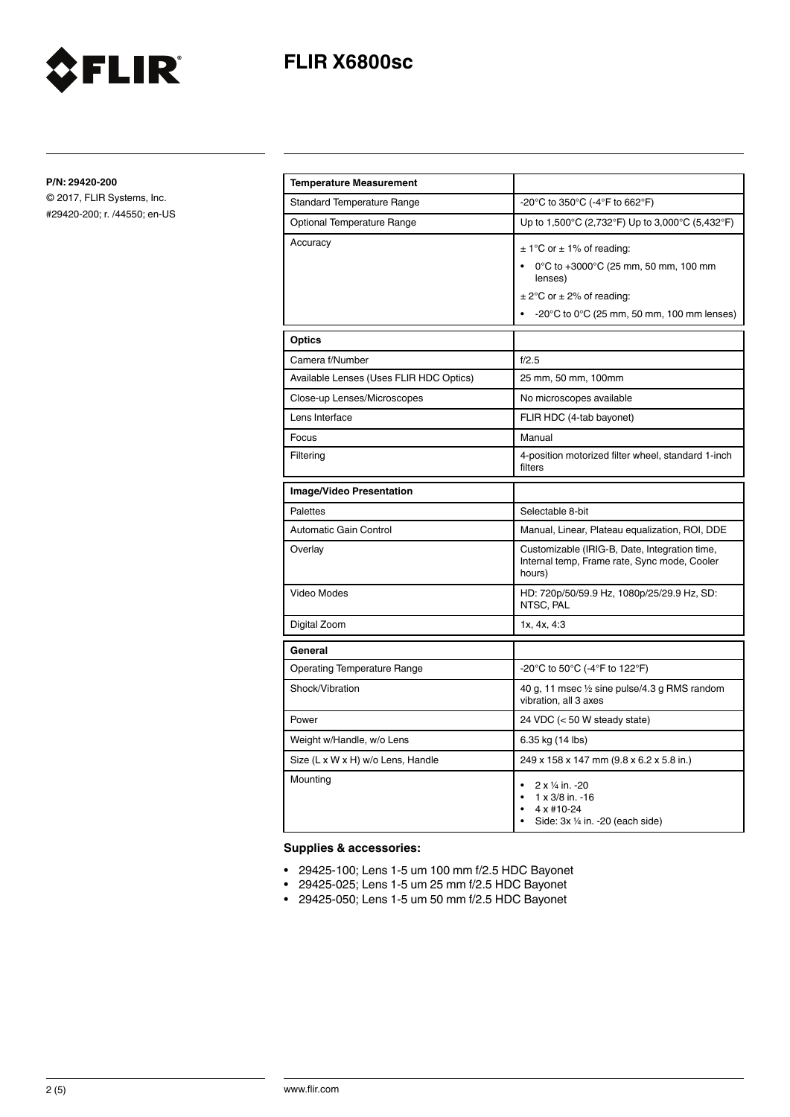

**P/N: 29420-200**

© 2017, FLIR Systems, Inc. #29420-200; r. /44550; en-US

FLIR®

| <b>Temperature Measurement</b>          |                                                                                                                                                                                              |
|-----------------------------------------|----------------------------------------------------------------------------------------------------------------------------------------------------------------------------------------------|
| <b>Standard Temperature Range</b>       | -20°C to 350°C (-4°F to 662°F)                                                                                                                                                               |
| <b>Optional Temperature Range</b>       | Up to 1,500°C (2,732°F) Up to 3,000°C (5,432°F)                                                                                                                                              |
| Accuracy                                | $\pm$ 1°C or $\pm$ 1% of reading:<br>0°C to +3000°C (25 mm, 50 mm, 100 mm<br>lenses)<br>$\pm$ 2°C or $\pm$ 2% of reading:<br>$-20^{\circ}$ C to 0 $^{\circ}$ C (25 mm, 50 mm, 100 mm lenses) |
| <b>Optics</b>                           |                                                                                                                                                                                              |
| Camera f/Number                         | f/2.5                                                                                                                                                                                        |
| Available Lenses (Uses FLIR HDC Optics) | 25 mm, 50 mm, 100mm                                                                                                                                                                          |
| Close-up Lenses/Microscopes             | No microscopes available                                                                                                                                                                     |
| Lens Interface                          | FLIR HDC (4-tab bayonet)                                                                                                                                                                     |
| Focus                                   | Manual                                                                                                                                                                                       |
| Filtering                               | 4-position motorized filter wheel, standard 1-inch<br>filters                                                                                                                                |
| <b>Image/Video Presentation</b>         |                                                                                                                                                                                              |
| Palettes                                | Selectable 8-bit                                                                                                                                                                             |
| Automatic Gain Control                  | Manual, Linear, Plateau equalization, ROI, DDE                                                                                                                                               |
| Overlay                                 | Customizable (IRIG-B, Date, Integration time,<br>Internal temp, Frame rate, Sync mode, Cooler<br>hours)                                                                                      |
| Video Modes                             | HD: 720p/50/59.9 Hz, 1080p/25/29.9 Hz, SD:<br>NTSC, PAL                                                                                                                                      |
| Digital Zoom                            | 1x, 4x, 4:3                                                                                                                                                                                  |
| General                                 |                                                                                                                                                                                              |
| <b>Operating Temperature Range</b>      | -20°C to 50°C (-4°F to 122°F)                                                                                                                                                                |
| Shock/Vibration                         | 40 g, 11 msec 1/2 sine pulse/4.3 g RMS random<br>vibration, all 3 axes                                                                                                                       |
| Power                                   | 24 VDC (< 50 W steady state)                                                                                                                                                                 |
| Weight w/Handle, w/o Lens               | 6.35 kg (14 lbs)                                                                                                                                                                             |
| Size (L x W x H) w/o Lens, Handle       | 249 x 158 x 147 mm (9.8 x 6.2 x 5.8 in.)                                                                                                                                                     |
| Mounting                                | 2 x 1/4 in. -20<br>1 x 3/8 in. -16<br>4 x #10-24<br>Side: 3x 1/4 in. - 20 (each side)                                                                                                        |

# **Supplies & accessories:**

- 29425-100; Lens 1-5 um 100 mm f/2.5 HDC Bayonet
- 29425-025; Lens 1-5 um 25 mm f/2.5 HDC Bayonet
- 29425-050; Lens 1-5 um 50 mm f/2.5 HDC Bayonet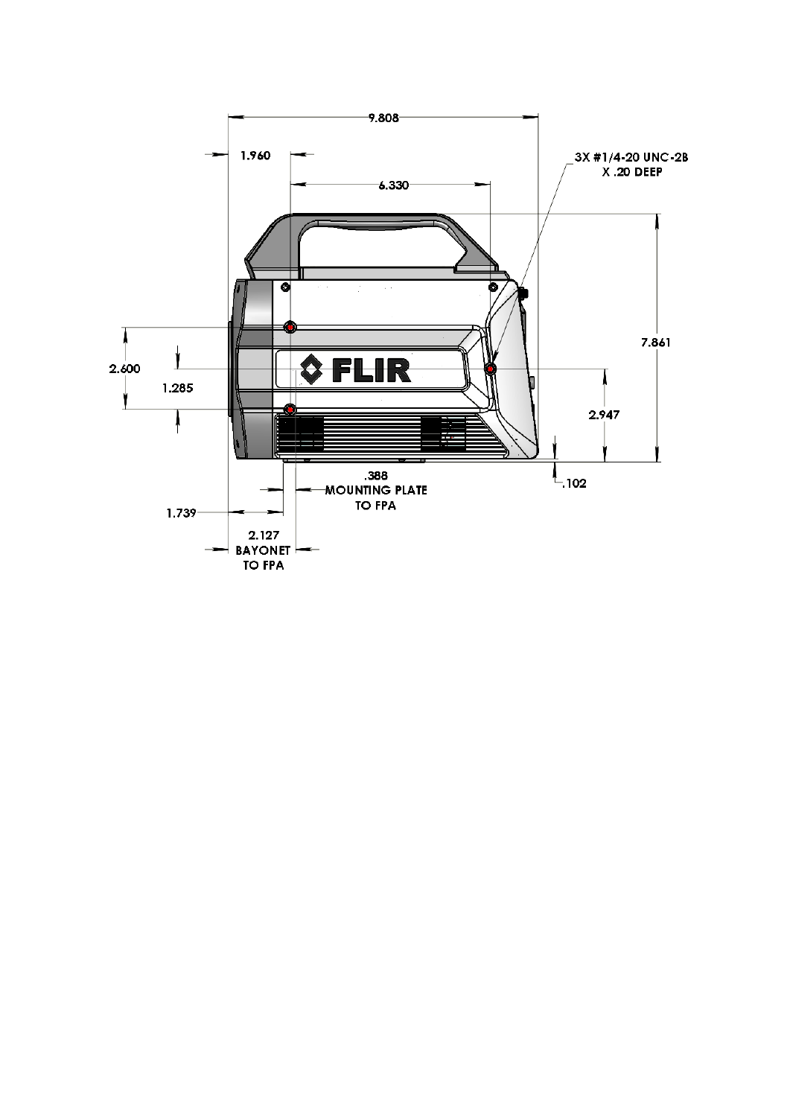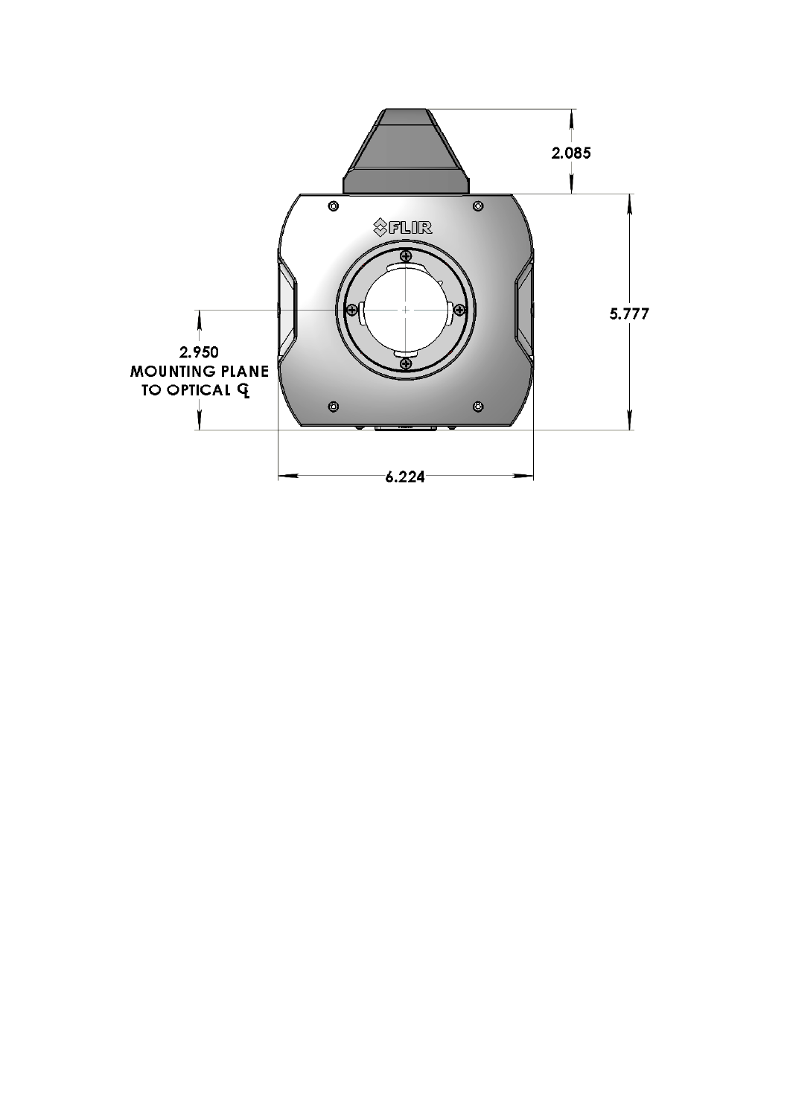